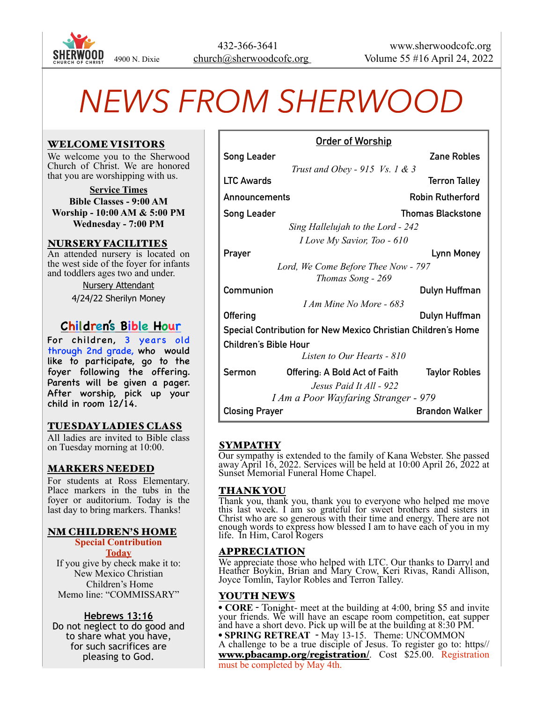

# *NEWS FROM SHERWOOD*

#### WELCOME VISITORS

We welcome you to the Sherwood Church of Christ. We are honored that you are worshipping with us.

**Service Times Bible Classes - 9:00 AM Worship - 10:00 AM & 5:00 PM Wednesday - 7:00 PM**

#### NURSERY FACILITIES

An attended nursery is located on the west side of the foyer for infants and toddlers ages two and under.

Nursery Attendant

4/24/22 Sherilyn Money

# **Children's Bible Hour**

For children, 3 years old through 2nd grade, who would like to participate, go to the foyer following the offering. Parents will be given a pager. After worship, pick up your child in room 12/14.

#### TUESDAY LADIES CLASS

All ladies are invited to Bible class on Tuesday morning at 10:00.

#### MARKERS NEEDED

For students at Ross Elementary. Place markers in the tubs in the foyer or auditorium. Today is the last day to bring markers. Thanks!

# NM CHILDREN'S HOME

**Special Contribution Today** If you give by check make it to: New Mexico Christian Children's Home Memo line: "COMMISSARY"

#### **Hebrews 13:16**

Do not neglect to do good and to share what you have, for such sacrifices are pleasing to God.

|                                                               | <u>Order of Worship</u>        |                          |
|---------------------------------------------------------------|--------------------------------|--------------------------|
| <b>Song Leader</b>                                            |                                | Zane Robles              |
|                                                               | Trust and Obey - 915 Vs. 1 & 3 |                          |
| <b>LTC Awards</b>                                             |                                | <b>Terron Talley</b>     |
| Announcements                                                 |                                | <b>Robin Rutherford</b>  |
| <b>Song Leader</b>                                            |                                | <b>Thomas Blackstone</b> |
| Sing Hallelujah to the Lord - 242                             |                                |                          |
|                                                               | I Love My Savior, Too - 610    |                          |
| Prayer                                                        |                                | <b>Lynn Money</b>        |
| Lord, We Come Before Thee Now - 797                           |                                |                          |
| Thomas Song - 269                                             |                                |                          |
| Communion                                                     |                                | Dulyn Huffman            |
|                                                               | <i>I Am Mine No More - 683</i> |                          |
| Offering                                                      |                                | Dulyn Huffman            |
| Special Contribution for New Mexico Christian Children's Home |                                |                          |
| Children's Bible Hour                                         |                                |                          |
|                                                               | Listen to Our Hearts - 810     |                          |
| Sermon                                                        | Offering: A Bold Act of Faith  | <b>Taylor Robles</b>     |
|                                                               | Jesus Paid It All - 922        |                          |
| <i>I Am a Poor Wayfaring Stranger - 979</i>                   |                                |                          |
| <b>Closing Prayer</b>                                         |                                | <b>Brandon Walker</b>    |

# SYMPATHY

Our sympathy is extended to the family of Kana Webster. She passed away April 16, 2022. Services will be held at 10:00 April 26, 2022 at Sunset Memorial Funeral Home Chapel.

#### THANK YOU

Thank you, thank you, thank you to everyone who helped me move this last week. I am so grateful for sweet brothers and sisters in Christ who are so generous with their time and energy. There are not enough words to express how blessed I am to have each of you in my life. In Him, Carol Rogers

#### APPRECIATION

We appreciate those who helped with LTC. Our thanks to Darryl and Heather Boykin, Brian and Mary Crow, Keri Rivas, Randi Allison, Joyce Tomlin, Taylor Robles and Terron Talley.

#### YOUTH NEWS

• **CORE** - Tonight- meet at the building at 4:00, bring \$5 and invite your friends. We will have an escape room competition, eat supper and have a short devo. Pick up will be at the building at 8:30 PM.

• **SPRING RETREAT** - May 13-15. Theme: UNCOMMON A challenge to be a true disciple of Jesus. To register go to: https// [www.pbacamp.org/registration/](http://www.pbacamp.org/registration/). Cost \$25.00. Registration must be completed by May 4th.